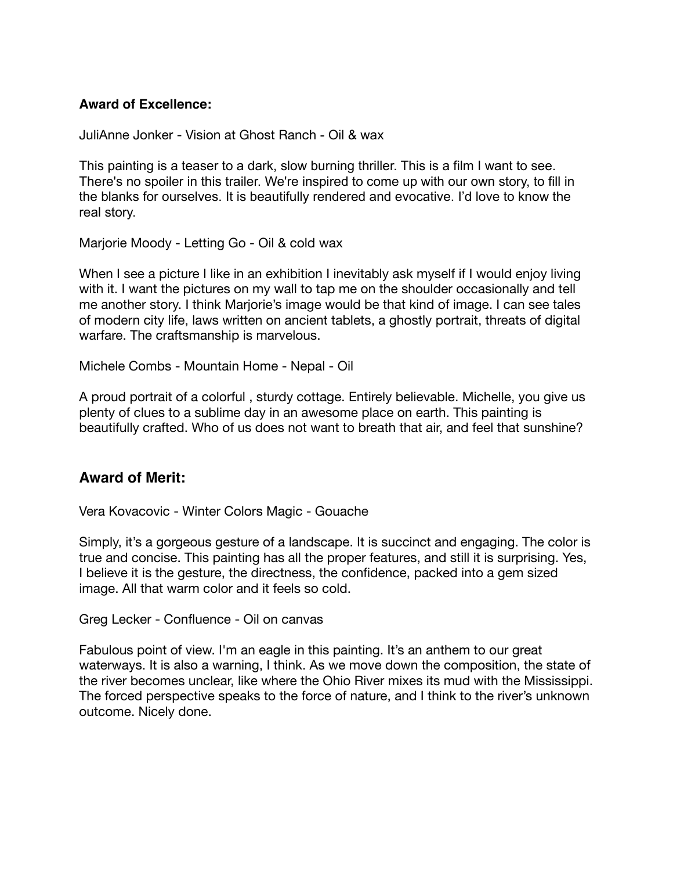## **Award of Excellence:**

JuliAnne Jonker - Vision at Ghost Ranch - Oil & wax

This painting is a teaser to a dark, slow burning thriller. This is a film I want to see. There's no spoiler in this trailer. We're inspired to come up with our own story, to fill in the blanks for ourselves. It is beautifully rendered and evocative. I'd love to know the real story.

Marjorie Moody - Letting Go - Oil & cold wax

When I see a picture I like in an exhibition I inevitably ask myself if I would enjoy living with it. I want the pictures on my wall to tap me on the shoulder occasionally and tell me another story. I think Marjorie's image would be that kind of image. I can see tales of modern city life, laws written on ancient tablets, a ghostly portrait, threats of digital warfare. The craftsmanship is marvelous.

Michele Combs - Mountain Home - Nepal - Oil

A proud portrait of a colorful , sturdy cottage. Entirely believable. Michelle, you give us plenty of clues to a sublime day in an awesome place on earth. This painting is beautifully crafted. Who of us does not want to breath that air, and feel that sunshine?

## **Award of Merit:**

Vera Kovacovic - Winter Colors Magic - Gouache

Simply, it's a gorgeous gesture of a landscape. It is succinct and engaging. The color is true and concise. This painting has all the proper features, and still it is surprising. Yes, I believe it is the gesture, the directness, the confidence, packed into a gem sized image. All that warm color and it feels so cold.

Greg Lecker - Confluence - Oil on canvas

Fabulous point of view. I'm an eagle in this painting. It's an anthem to our great waterways. It is also a warning, I think. As we move down the composition, the state of the river becomes unclear, like where the Ohio River mixes its mud with the Mississippi. The forced perspective speaks to the force of nature, and I think to the river's unknown outcome. Nicely done.